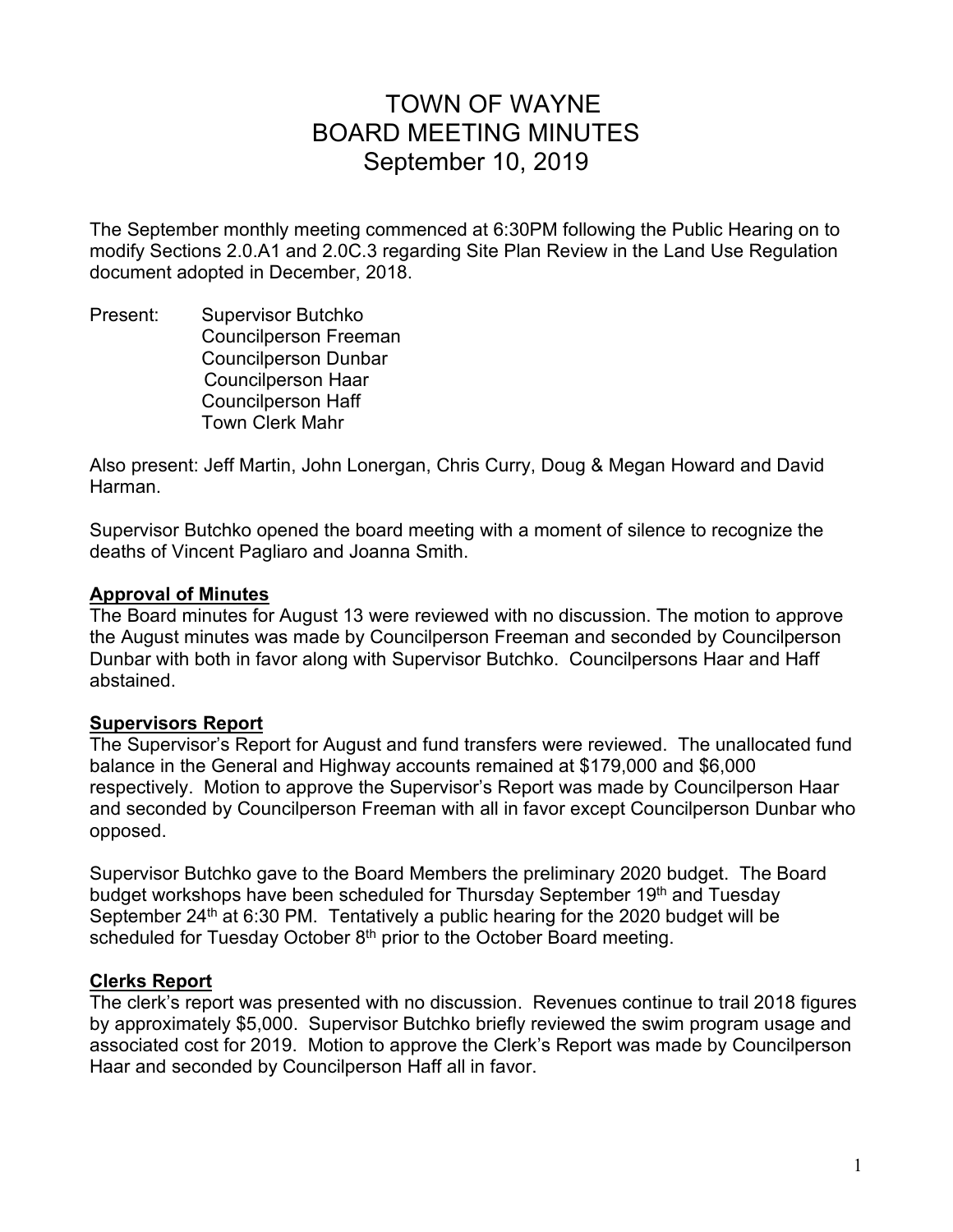# TOWN OF WAYNE BOARD MEETING MINUTES September 10, 2019

The September monthly meeting commenced at 6:30PM following the Public Hearing on to modify Sections 2.0.A1 and 2.0C.3 regarding Site Plan Review in the Land Use Regulation document adopted in December, 2018.

Present: Supervisor Butchko Councilperson Freeman Councilperson Dunbar Councilperson Haar Councilperson Haff Town Clerk Mahr

Also present: Jeff Martin, John Lonergan, Chris Curry, Doug & Megan Howard and David Harman.

Supervisor Butchko opened the board meeting with a moment of silence to recognize the deaths of Vincent Pagliaro and Joanna Smith.

## **Approval of Minutes**

The Board minutes for August 13 were reviewed with no discussion. The motion to approve the August minutes was made by Councilperson Freeman and seconded by Councilperson Dunbar with both in favor along with Supervisor Butchko. Councilpersons Haar and Haff abstained.

# **Supervisors Report**

The Supervisor's Report for August and fund transfers were reviewed. The unallocated fund balance in the General and Highway accounts remained at \$179,000 and \$6,000 respectively. Motion to approve the Supervisor's Report was made by Councilperson Haar and seconded by Councilperson Freeman with all in favor except Councilperson Dunbar who opposed.

Supervisor Butchko gave to the Board Members the preliminary 2020 budget. The Board budget workshops have been scheduled for Thursday September 19th and Tuesday September  $24<sup>th</sup>$  at 6:30 PM. Tentatively a public hearing for the 2020 budget will be scheduled for Tuesday October  $8<sup>th</sup>$  prior to the October Board meeting.

# **Clerks Report**

The clerk's report was presented with no discussion. Revenues continue to trail 2018 figures by approximately \$5,000. Supervisor Butchko briefly reviewed the swim program usage and associated cost for 2019. Motion to approve the Clerk's Report was made by Councilperson Haar and seconded by Councilperson Haff all in favor.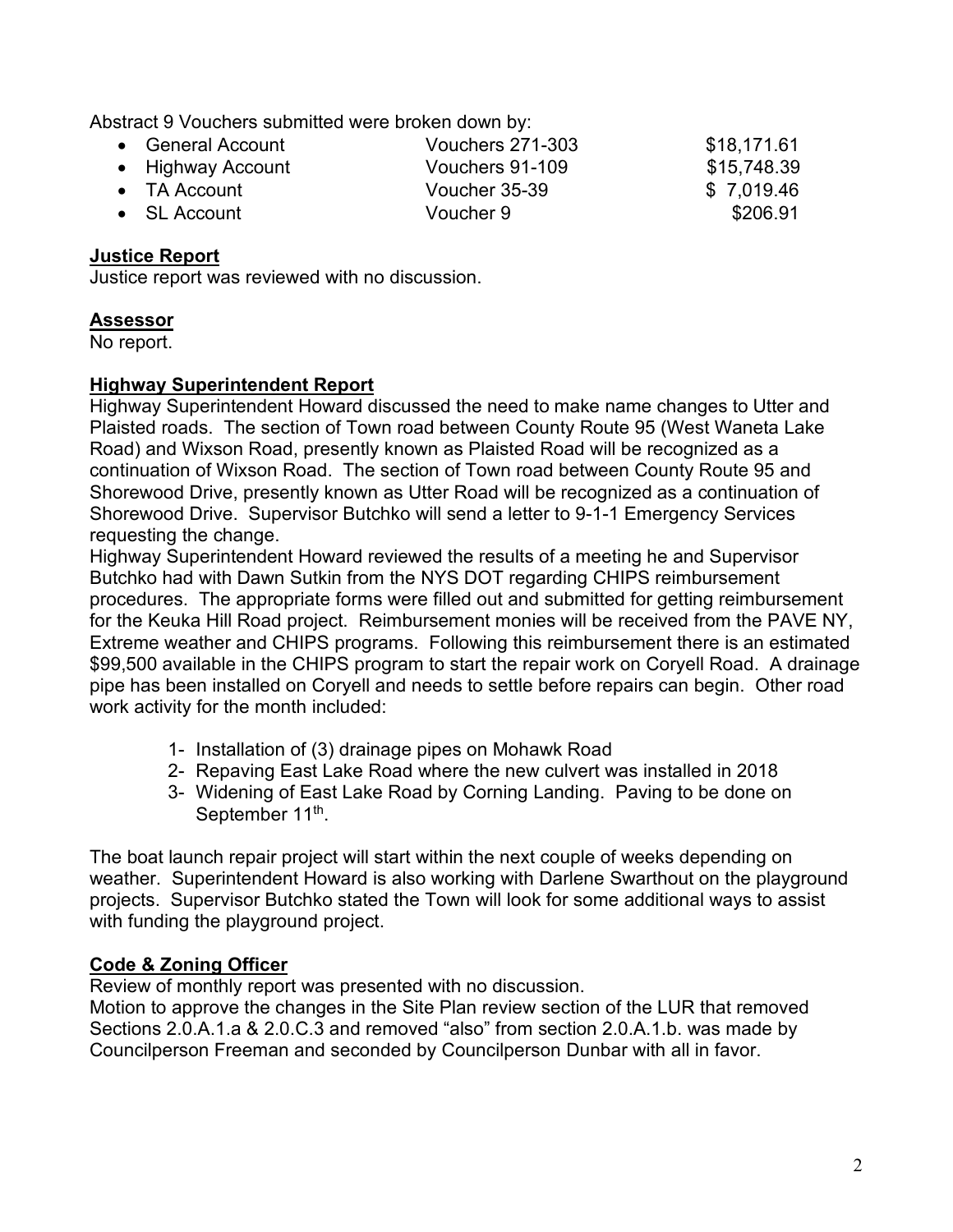Abstract 9 Vouchers submitted were broken down by:

| • General Account    | <b>Vouchers 271-303</b> | \$18,171.61 |
|----------------------|-------------------------|-------------|
| • Highway Account    | Vouchers 91-109         | \$15,748.39 |
| $\bullet$ TA Account | Voucher 35-39           | \$7,019.46  |
| $\bullet$ SL Account | Voucher 9               | \$206.91    |

## **Justice Report**

Justice report was reviewed with no discussion.

## **Assessor**

No report.

## **Highway Superintendent Report**

Highway Superintendent Howard discussed the need to make name changes to Utter and Plaisted roads. The section of Town road between County Route 95 (West Waneta Lake Road) and Wixson Road, presently known as Plaisted Road will be recognized as a continuation of Wixson Road. The section of Town road between County Route 95 and Shorewood Drive, presently known as Utter Road will be recognized as a continuation of Shorewood Drive. Supervisor Butchko will send a letter to 9-1-1 Emergency Services requesting the change.

Highway Superintendent Howard reviewed the results of a meeting he and Supervisor Butchko had with Dawn Sutkin from the NYS DOT regarding CHIPS reimbursement procedures. The appropriate forms were filled out and submitted for getting reimbursement for the Keuka Hill Road project. Reimbursement monies will be received from the PAVE NY, Extreme weather and CHIPS programs. Following this reimbursement there is an estimated \$99,500 available in the CHIPS program to start the repair work on Coryell Road. A drainage pipe has been installed on Coryell and needs to settle before repairs can begin. Other road work activity for the month included:

- 1- Installation of (3) drainage pipes on Mohawk Road
- 2- Repaving East Lake Road where the new culvert was installed in 2018
- 3- Widening of East Lake Road by Corning Landing. Paving to be done on September 11<sup>th</sup>.

The boat launch repair project will start within the next couple of weeks depending on weather. Superintendent Howard is also working with Darlene Swarthout on the playground projects. Supervisor Butchko stated the Town will look for some additional ways to assist with funding the playground project.

# **Code & Zoning Officer**

Review of monthly report was presented with no discussion.

Motion to approve the changes in the Site Plan review section of the LUR that removed Sections 2.0.A.1.a & 2.0.C.3 and removed "also" from section 2.0.A.1.b. was made by Councilperson Freeman and seconded by Councilperson Dunbar with all in favor.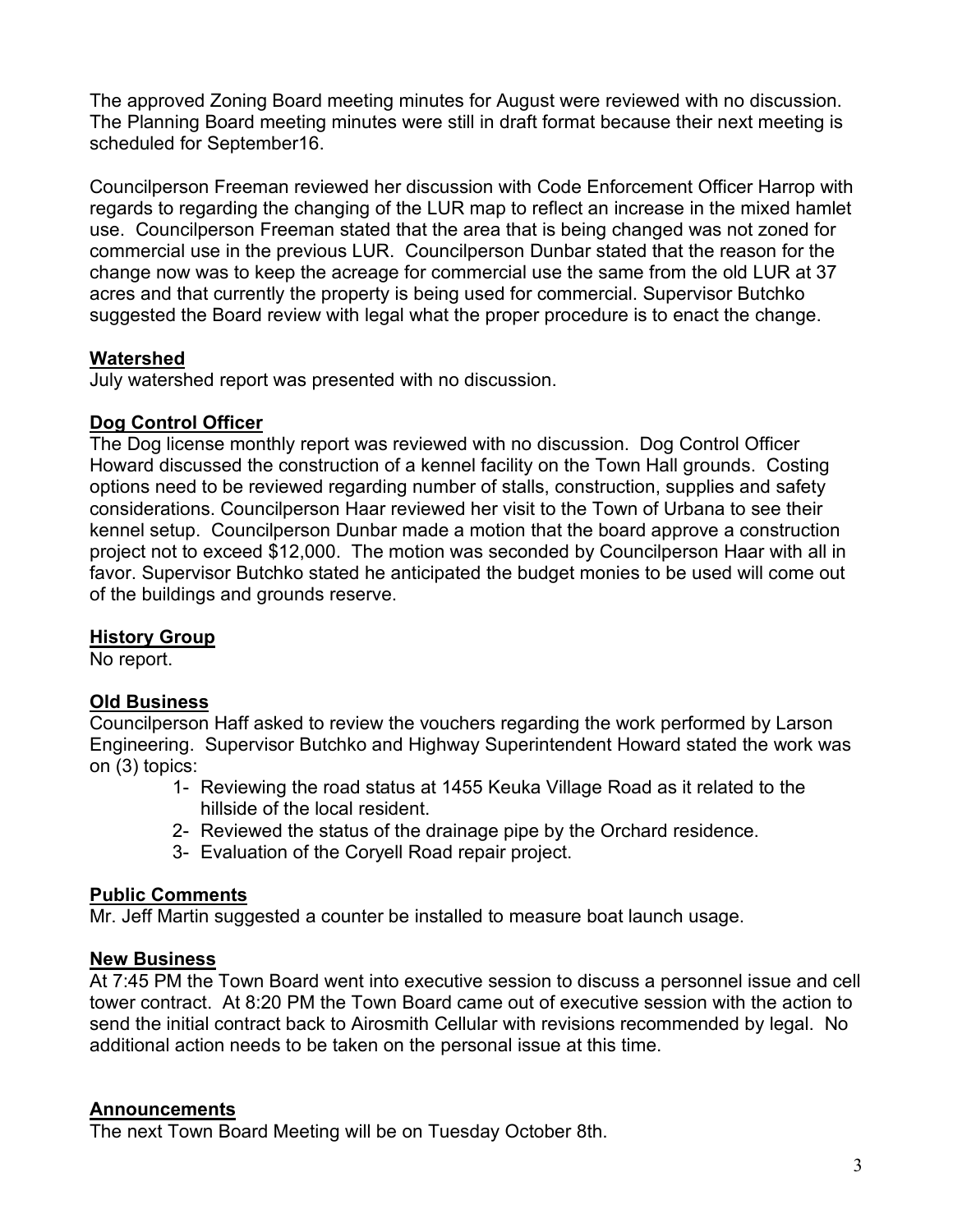The approved Zoning Board meeting minutes for August were reviewed with no discussion. The Planning Board meeting minutes were still in draft format because their next meeting is scheduled for September16.

Councilperson Freeman reviewed her discussion with Code Enforcement Officer Harrop with regards to regarding the changing of the LUR map to reflect an increase in the mixed hamlet use. Councilperson Freeman stated that the area that is being changed was not zoned for commercial use in the previous LUR. Councilperson Dunbar stated that the reason for the change now was to keep the acreage for commercial use the same from the old LUR at 37 acres and that currently the property is being used for commercial. Supervisor Butchko suggested the Board review with legal what the proper procedure is to enact the change.

# **Watershed**

July watershed report was presented with no discussion.

## **Dog Control Officer**

The Dog license monthly report was reviewed with no discussion. Dog Control Officer Howard discussed the construction of a kennel facility on the Town Hall grounds. Costing options need to be reviewed regarding number of stalls, construction, supplies and safety considerations. Councilperson Haar reviewed her visit to the Town of Urbana to see their kennel setup. Councilperson Dunbar made a motion that the board approve a construction project not to exceed \$12,000. The motion was seconded by Councilperson Haar with all in favor. Supervisor Butchko stated he anticipated the budget monies to be used will come out of the buildings and grounds reserve.

#### **History Group**

No report.

#### **Old Business**

Councilperson Haff asked to review the vouchers regarding the work performed by Larson Engineering. Supervisor Butchko and Highway Superintendent Howard stated the work was on (3) topics:

- 1- Reviewing the road status at 1455 Keuka Village Road as it related to the hillside of the local resident.
- 2- Reviewed the status of the drainage pipe by the Orchard residence.
- 3- Evaluation of the Coryell Road repair project.

#### **Public Comments**

Mr. Jeff Martin suggested a counter be installed to measure boat launch usage.

#### **New Business**

At 7:45 PM the Town Board went into executive session to discuss a personnel issue and cell tower contract. At 8:20 PM the Town Board came out of executive session with the action to send the initial contract back to Airosmith Cellular with revisions recommended by legal. No additional action needs to be taken on the personal issue at this time.

#### **Announcements**

The next Town Board Meeting will be on Tuesday October 8th.